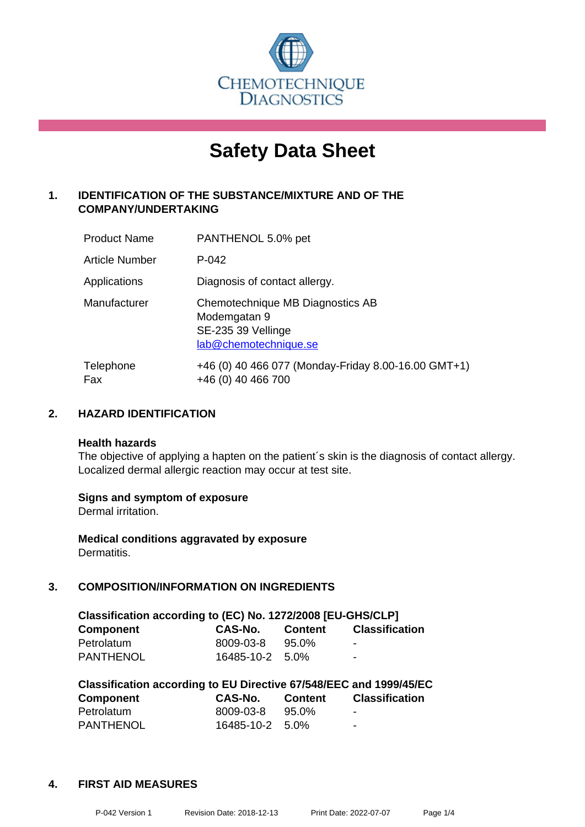

# **Safety Data Sheet**

# **1. IDENTIFICATION OF THE SUBSTANCE/MIXTURE AND OF THE COMPANY/UNDERTAKING**

| <b>Product Name</b>   | PANTHENOL 5.0% pet                                                                              |
|-----------------------|-------------------------------------------------------------------------------------------------|
| <b>Article Number</b> | $P - 042$                                                                                       |
| Applications          | Diagnosis of contact allergy.                                                                   |
| Manufacturer          | Chemotechnique MB Diagnostics AB<br>Modemgatan 9<br>SE-235 39 Vellinge<br>lab@chemotechnique.se |
| Telephone<br>Fax      | +46 (0) 40 466 077 (Monday-Friday 8.00-16.00 GMT+1)<br>+46 (0) 40 466 700                       |

# **2. HAZARD IDENTIFICATION**

#### **Health hazards**

The objective of applying a hapten on the patient's skin is the diagnosis of contact allergy. Localized dermal allergic reaction may occur at test site.

## **Signs and symptom of exposure**

Dermal irritation.

**Medical conditions aggravated by exposure** Dermatitis.

# **3. COMPOSITION/INFORMATION ON INGREDIENTS**

| Classification according to (EC) No. 1272/2008 [EU-GHS/CLP] |                 |                |                       |  |  |
|-------------------------------------------------------------|-----------------|----------------|-----------------------|--|--|
| <b>Component</b>                                            | CAS-No.         | <b>Content</b> | <b>Classification</b> |  |  |
| Petrolatum                                                  | 8009-03-8       | 95.0%          | -                     |  |  |
| <b>PANTHENOL</b>                                            | 16485-10-2 5.0% |                | $\blacksquare$        |  |  |

| Classification according to EU Directive 67/548/EEC and 1999/45/EC |                 |                |                       |  |  |
|--------------------------------------------------------------------|-----------------|----------------|-----------------------|--|--|
| <b>Component</b>                                                   | CAS-No.         | <b>Content</b> | <b>Classification</b> |  |  |
| Petrolatum                                                         | 8009-03-8       | 95.0%          | -                     |  |  |
| <b>PANTHENOL</b>                                                   | 16485-10-2 5.0% |                | -                     |  |  |

## **4. FIRST AID MEASURES**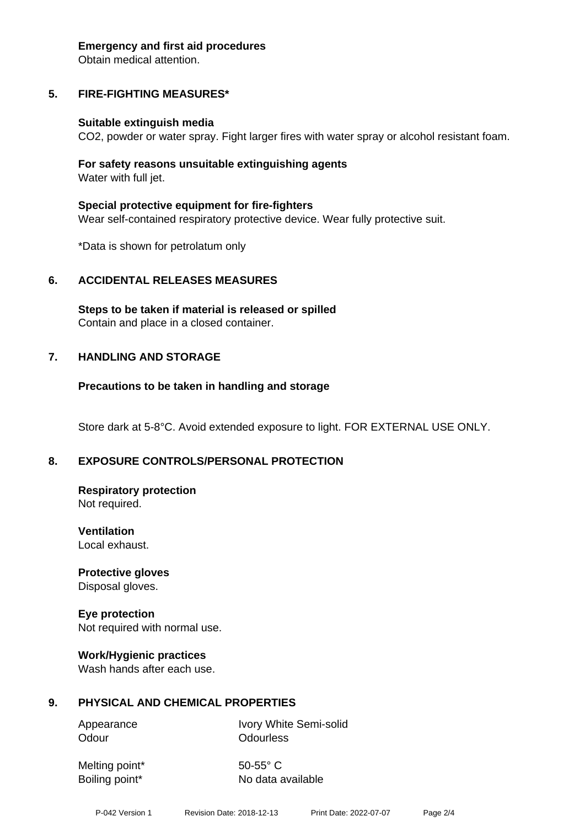#### **Emergency and first aid procedures**

Obtain medical attention.

# **5. FIRE-FIGHTING MEASURES\***

#### **Suitable extinguish media**

CO2, powder or water spray. Fight larger fires with water spray or alcohol resistant foam.

#### **For safety reasons unsuitable extinguishing agents** Water with full jet.

**Special protective equipment for fire-fighters** Wear self-contained respiratory protective device. Wear fully protective suit.

\*Data is shown for petrolatum only

# **6. ACCIDENTAL RELEASES MEASURES**

**Steps to be taken if material is released or spilled** Contain and place in a closed container.

## **7. HANDLING AND STORAGE**

## **Precautions to be taken in handling and storage**

Store dark at 5-8°C. Avoid extended exposure to light. FOR EXTERNAL USE ONLY.

## **8. EXPOSURE CONTROLS/PERSONAL PROTECTION**

#### **Respiratory protection** Not required.

**Ventilation** Local exhaust.

**Protective gloves** Disposal gloves.

#### **Eye protection** Not required with normal use.

# **Work/Hygienic practices**

Wash hands after each use.

## **9. PHYSICAL AND CHEMICAL PROPERTIES**

Odour **Odourless** 

Appearance Ivory White Semi-solid

Melting point\* 50-55° C

Boiling point\* No data available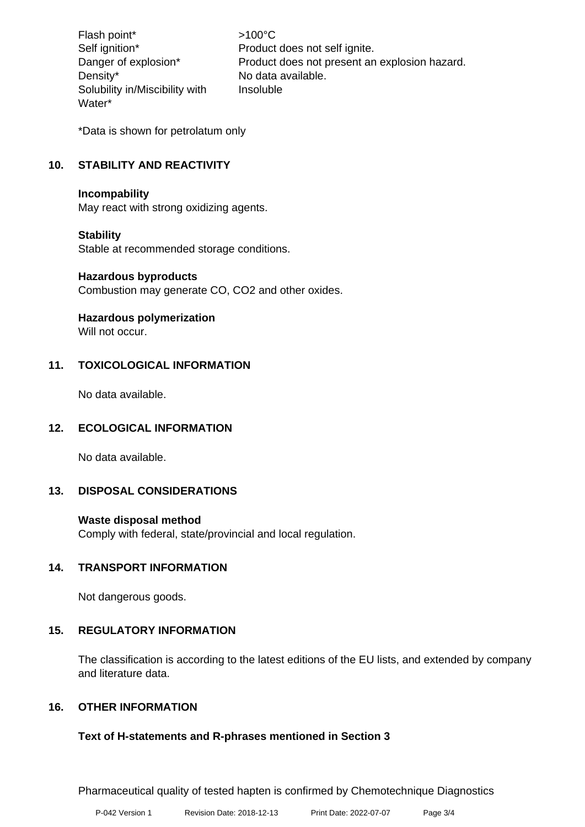Flash point\* >100°C Density\* No data available. Solubility in/Miscibility with Water\*

Self ignition\* Product does not self ignite. Danger of explosion\* Product does not present an explosion hazard. Insoluble

\*Data is shown for petrolatum only

# **10. STABILITY AND REACTIVITY**

## **Incompability**

May react with strong oxidizing agents.

## **Stability**

Stable at recommended storage conditions.

#### **Hazardous byproducts**

Combustion may generate CO, CO2 and other oxides.

## **Hazardous polymerization**

Will not occur.

# **11. TOXICOLOGICAL INFORMATION**

No data available.

## **12. ECOLOGICAL INFORMATION**

No data available.

## **13. DISPOSAL CONSIDERATIONS**

## **Waste disposal method**

Comply with federal, state/provincial and local regulation.

## **14. TRANSPORT INFORMATION**

Not dangerous goods.

## **15. REGULATORY INFORMATION**

The classification is according to the latest editions of the EU lists, and extended by company and literature data.

## **16. OTHER INFORMATION**

## **Text of H-statements and R-phrases mentioned in Section 3**

Pharmaceutical quality of tested hapten is confirmed by Chemotechnique Diagnostics